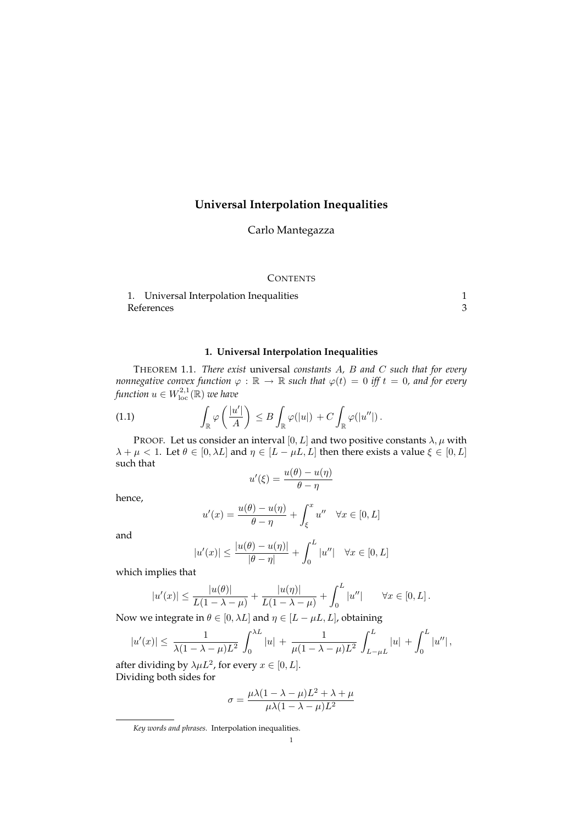## **Universal Interpolation Inequalities**

Carlo Mantegazza

## **CONTENTS**

1. Universal Interpolation Inequalities 1 References 3

## **1. Universal Interpolation Inequalities**

THEOREM 1.1. *There exist* universal *constants* A*,* B *and* C *such that for every nonnegative convex function*  $\varphi : \mathbb{R} \to \mathbb{R}$  such that  $\varphi(t) = 0$  iff  $t = 0$ , and for every function  $u \in W^{2,1}_{\mathrm{loc}}(\mathbb R)$  we have

(1.1) 
$$
\int_{\mathbb{R}} \varphi\left(\frac{|u'|}{A}\right) \leq B \int_{\mathbb{R}} \varphi(|u|) + C \int_{\mathbb{R}} \varphi(|u''|).
$$

PROOF. Let us consider an interval  $[0, L]$  and two positive constants  $\lambda, \mu$  with  $\lambda + \mu < 1$ . Let  $\theta \in [0, \lambda L]$  and  $\eta \in [L - \mu L, L]$  then there exists a value  $\xi \in [0, L]$ such that

$$
u'(\xi) = \frac{u(\theta) - u(\eta)}{\theta - \eta}
$$

hence,

$$
u'(x) = \frac{u(\theta) - u(\eta)}{\theta - \eta} + \int_{\xi}^{x} u'' \quad \forall x \in [0, L]
$$

and

$$
|u'(x)| \le \frac{|u(\theta) - u(\eta)|}{|\theta - \eta|} + \int_0^L |u''| \quad \forall x \in [0, L]
$$

which implies that

$$
|u'(x)| \le \frac{|u(\theta)|}{L(1 - \lambda - \mu)} + \frac{|u(\eta)|}{L(1 - \lambda - \mu)} + \int_0^L |u''| \qquad \forall x \in [0, L].
$$

Now we integrate in  $\theta \in [0, \lambda L]$  and  $\eta \in [L - \mu L, L]$ , obtaining

$$
|u'(x)| \le \frac{1}{\lambda(1-\lambda-\mu)L^2} \int_0^{\lambda L} |u| + \frac{1}{\mu(1-\lambda-\mu)L^2} \int_{L-\mu L}^L |u| + \int_0^L |u''|,
$$

after dividing by  $\lambda \mu L^2$ , for every  $x \in [0, L]$ . Dividing both sides for

$$
\sigma = \frac{\mu\lambda(1-\lambda-\mu)L^2 + \lambda + \mu}{\mu\lambda(1-\lambda-\mu)L^2}
$$

*Key words and phrases.* Interpolation inequalities.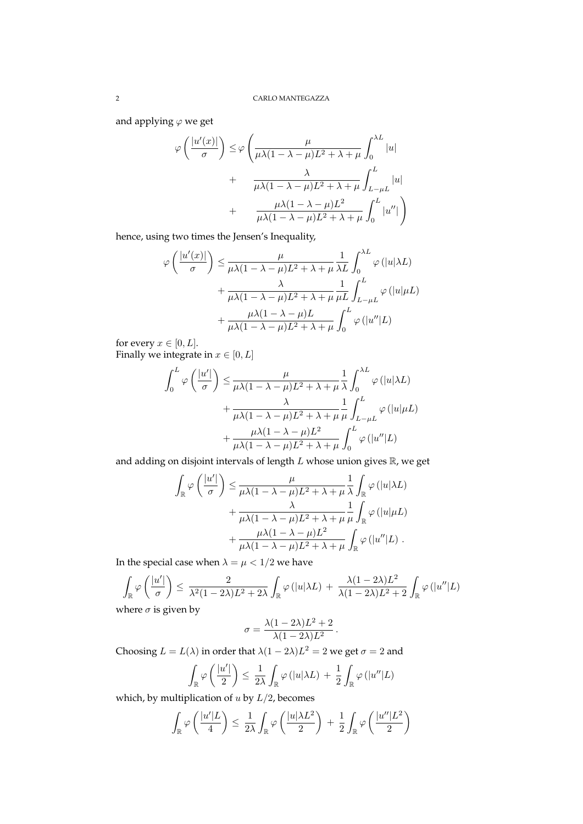and applying  $\varphi$  we get

$$
\varphi\left(\frac{|u'(x)|}{\sigma}\right) \leq \varphi\left(\frac{\mu}{\mu\lambda(1-\lambda-\mu)L^2 + \lambda + \mu} \int_0^{\lambda L} |u| + \frac{\lambda}{\mu\lambda(1-\lambda-\mu)L^2 + \lambda + \mu} \int_{L-\mu L}^L |u| + \frac{\mu\lambda(1-\lambda-\mu)L^2}{\mu\lambda(1-\lambda-\mu)L^2 + \lambda + \mu} \int_0^L |u''| \right)
$$

hence, using two times the Jensen's Inequality,

$$
\varphi\left(\frac{|u'(x)|}{\sigma}\right) \leq \frac{\mu}{\mu\lambda(1-\lambda-\mu)L^2 + \lambda + \mu} \frac{1}{\lambda L} \int_0^{\lambda L} \varphi\left(|u|\lambda L\right) + \frac{\lambda}{\mu\lambda(1-\lambda-\mu)L^2 + \lambda + \mu} \frac{1}{\mu L} \int_{L-\mu L}^L \varphi\left(|u|\mu L\right) + \frac{\mu\lambda(1-\lambda-\mu)L}{\mu\lambda(1-\lambda-\mu)L^2 + \lambda + \mu} \int_0^L \varphi\left(|u''|L\right)
$$

for every  $x \in [0, L]$ . Finally we integrate in  $x \in [0, L]$ 

$$
\int_0^L \varphi\left(\frac{|u'|}{\sigma}\right) \le \frac{\mu}{\mu\lambda(1-\lambda-\mu)L^2 + \lambda + \mu} \frac{1}{\lambda} \int_0^{\lambda L} \varphi\left(|u|\lambda L\right) \n+ \frac{\lambda}{\mu\lambda(1-\lambda-\mu)L^2 + \lambda + \mu} \frac{1}{\mu} \int_{L-\mu L}^L \varphi\left(|u|\mu L\right) \n+ \frac{\mu\lambda(1-\lambda-\mu)L^2}{\mu\lambda(1-\lambda-\mu)L^2 + \lambda + \mu} \int_0^L \varphi\left(|u''|L\right)
$$

and adding on disjoint intervals of length  $L$  whose union gives  $\mathbb R$ , we get

$$
\int_{\mathbb{R}} \varphi\left(\frac{|u'|}{\sigma}\right) \leq \frac{\mu}{\mu\lambda(1-\lambda-\mu)L^2 + \lambda + \mu} \frac{1}{\lambda} \int_{\mathbb{R}} \varphi\left(|u|\lambda L\right) \n+ \frac{\lambda}{\mu\lambda(1-\lambda-\mu)L^2 + \lambda + \mu} \frac{1}{\mu} \int_{\mathbb{R}} \varphi\left(|u|\mu L\right) \n+ \frac{\mu\lambda(1-\lambda-\mu)L^2}{\mu\lambda(1-\lambda-\mu)L^2 + \lambda + \mu} \int_{\mathbb{R}} \varphi\left(|u''|L\right).
$$

In the special case when  $\lambda = \mu < 1/2$  we have

$$
\int_{\mathbb{R}} \varphi\left(\frac{|u'|}{\sigma}\right) \le \frac{2}{\lambda^2 (1 - 2\lambda)L^2 + 2\lambda} \int_{\mathbb{R}} \varphi\left(|u|\lambda L\right) + \frac{\lambda (1 - 2\lambda)L^2}{\lambda (1 - 2\lambda)L^2 + 2} \int_{\mathbb{R}} \varphi\left(|u''|L\right)
$$

where  $\sigma$  is given by

$$
\sigma = \frac{\lambda (1 - 2\lambda)L^2 + 2}{\lambda (1 - 2\lambda)L^2}.
$$

Choosing  $L = L(\lambda)$  in order that  $\lambda(1 - 2\lambda)L^2 = 2$  we get  $\sigma = 2$  and

$$
\int_{\mathbb{R}} \varphi\left(\frac{|u'|}{2}\right) \leq \frac{1}{2\lambda} \int_{\mathbb{R}} \varphi\left(|u|\lambda L\right) + \frac{1}{2} \int_{\mathbb{R}} \varphi\left(|u''|L\right)
$$

which, by multiplication of  $u$  by  $L/2$ , becomes

$$
\int_{\mathbb{R}} \varphi\left(\frac{|u'|L}{4}\right) \leq \frac{1}{2\lambda} \int_{\mathbb{R}} \varphi\left(\frac{|u|\lambda L^2}{2}\right) + \frac{1}{2} \int_{\mathbb{R}} \varphi\left(\frac{|u''|L^2}{2}\right)
$$